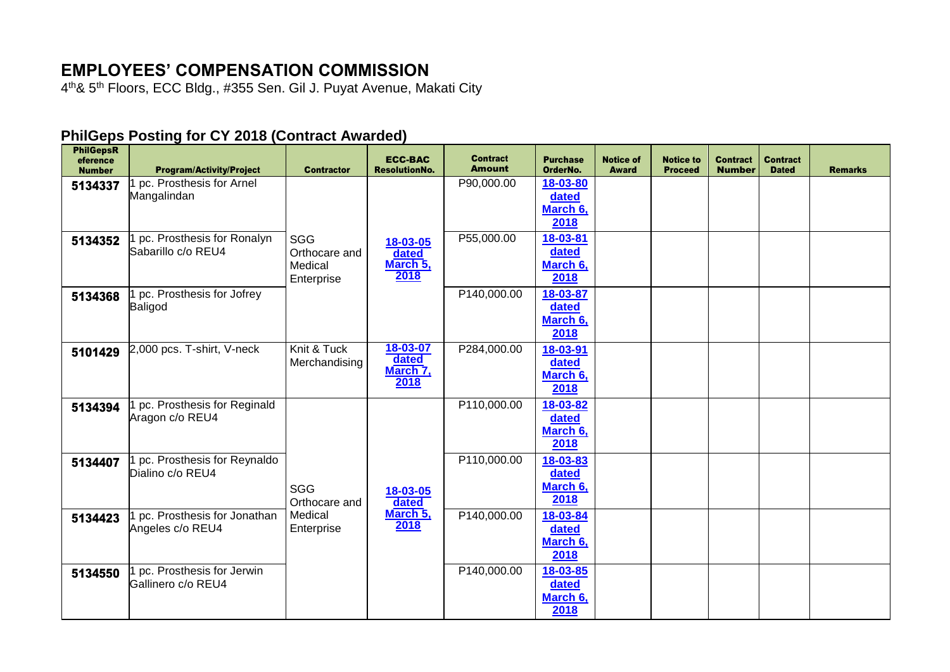## **EMPLOYEES' COMPENSATION COMMISSION**

4<sup>th</sup>& 5<sup>th</sup> Floors, ECC Bldg., #355 Sen. Gil J. Puyat Avenue, Makati City

## **PhilGeps Posting for CY 2018 (Contract Awarded)**

| <b>PhilGepsR</b><br>eference<br><b>Number</b> | <b>Program/Activity/Project</b>                  | <b>Contractor</b>                                    | <b>ECC-BAC</b><br><b>ResolutionNo.</b> | <b>Contract</b><br><b>Amount</b> | <b>Purchase</b><br>OrderNo.                       | <b>Notice of</b><br><b>Award</b> | <b>Notice to</b><br><b>Proceed</b> | <b>Contract</b><br><b>Number</b> | <b>Contract</b><br><b>Dated</b> | <b>Remarks</b> |
|-----------------------------------------------|--------------------------------------------------|------------------------------------------------------|----------------------------------------|----------------------------------|---------------------------------------------------|----------------------------------|------------------------------------|----------------------------------|---------------------------------|----------------|
| 5134337                                       | pc. Prosthesis for Arnel<br>Mangalindan          |                                                      |                                        | P90,000.00                       | 18-03-80<br>dated<br>March 6,<br>2018             |                                  |                                    |                                  |                                 |                |
| 5134352                                       | pc. Prosthesis for Ronalyn<br>Sabarillo c/o REU4 | <b>SGG</b><br>Orthocare and<br>Medical<br>Enterprise | 18-03-05<br>dated<br>March 5,<br>2018  | P55,000.00                       | 18-03-81<br>dated<br>March 6,<br>2018             |                                  |                                    |                                  |                                 |                |
| 5134368                                       | pc. Prosthesis for Jofrey<br>Baligod             |                                                      |                                        | P140,000.00                      | 18-03-87<br>dated<br>March 6,<br>2018             |                                  |                                    |                                  |                                 |                |
| 5101429                                       | 2,000 pcs. T-shirt, V-neck                       | Knit & Tuck<br>Merchandising                         | 18-03-07<br>dated<br>March 7,<br>2018  | P284,000.00                      | 18-03-91<br>dated<br>March <sub>6</sub> ,<br>2018 |                                  |                                    |                                  |                                 |                |
| 5134394                                       | pc. Prosthesis for Reginald<br>Aragon c/o REU4   |                                                      |                                        | P110,000.00                      | 18-03-82<br>dated<br>March 6,<br>2018             |                                  |                                    |                                  |                                 |                |
| 5134407                                       | pc. Prosthesis for Reynaldo<br>Dialino c/o REU4  | <b>SGG</b><br>Orthocare and                          | 18-03-05<br>dated                      | P110,000.00                      | 18-03-83<br>dated<br>March 6,<br>2018             |                                  |                                    |                                  |                                 |                |
| 5134423                                       | pc. Prosthesis for Jonathan<br>Angeles c/o REU4  | Medical<br>Enterprise                                | March 5,<br>2018                       | P140,000.00                      | 18-03-84<br>dated<br>March <sub>6</sub> ,<br>2018 |                                  |                                    |                                  |                                 |                |
| 5134550                                       | pc. Prosthesis for Jerwin<br>Gallinero c/o REU4  |                                                      |                                        | P140,000.00                      | 18-03-85<br>dated<br>March 6,<br>2018             |                                  |                                    |                                  |                                 |                |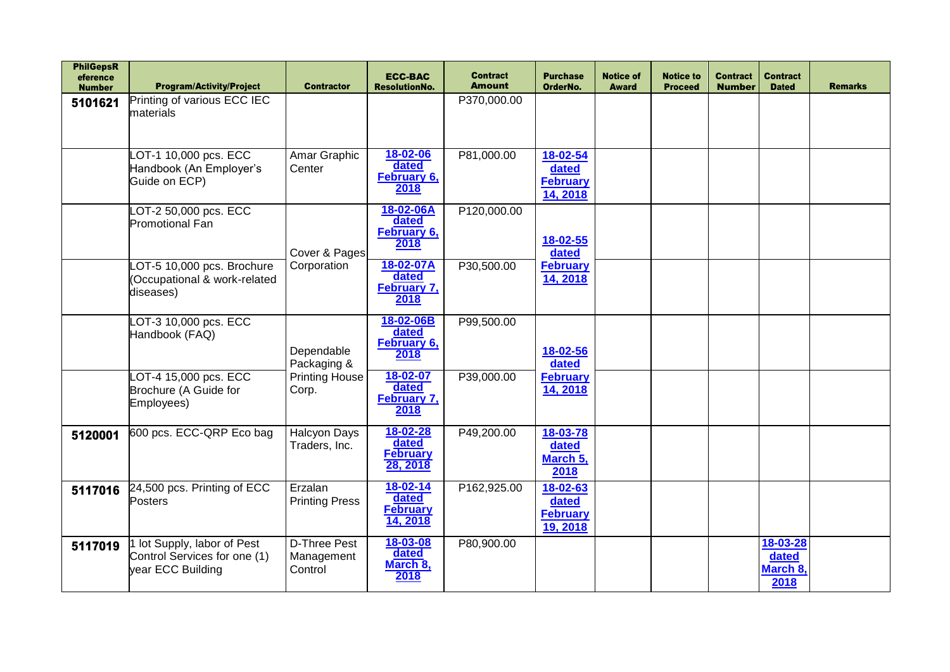| <b>PhilGepsR</b><br>eference<br><b>Number</b> | <b>Program/Activity/Project</b>                                                  | <b>Contractor</b>                     | <b>ECC-BAC</b><br><b>ResolutionNo.</b>                 | <b>Contract</b><br><b>Amount</b> | <b>Purchase</b><br>OrderNo.                      | <b>Notice of</b><br><b>Award</b> | <b>Notice to</b><br><b>Proceed</b> | <b>Contract</b><br><b>Number</b> | <b>Contract</b><br><b>Dated</b>       | <b>Remarks</b> |
|-----------------------------------------------|----------------------------------------------------------------------------------|---------------------------------------|--------------------------------------------------------|----------------------------------|--------------------------------------------------|----------------------------------|------------------------------------|----------------------------------|---------------------------------------|----------------|
| 5101621                                       | Printing of various ECC IEC<br>materials                                         |                                       |                                                        | P370,000.00                      |                                                  |                                  |                                    |                                  |                                       |                |
|                                               | LOT-1 10,000 pcs. ECC<br>Handbook (An Employer's<br>Guide on ECP)                | Amar Graphic<br>Center                | 18-02-06<br>dated<br>February 6,<br>2018               | P81,000.00                       | 18-02-54<br>dated<br><b>February</b><br>14, 2018 |                                  |                                    |                                  |                                       |                |
|                                               | OT-2 50,000 pcs. ECC<br>Promotional Fan                                          | Cover & Pages                         | 18-02-06A<br>dated<br>February 6,<br>2018              | P120,000.00                      | 18-02-55<br>dated                                |                                  |                                    |                                  |                                       |                |
|                                               | OT-5 10,000 pcs. Brochure<br>(Occupational & work-related<br>diseases)           | Corporation                           | 18-02-07A<br>dated<br><b>February 7,</b><br>2018       | P30,500.00                       | <b>February</b><br>14, 2018                      |                                  |                                    |                                  |                                       |                |
|                                               | OT-3 10,000 pcs. ECC<br>Handbook (FAQ)                                           | Dependable<br>Packaging &             | 18-02-06B<br>dated<br>February 6,<br>2018              | P99,500.00                       | 18-02-56<br>dated                                |                                  |                                    |                                  |                                       |                |
|                                               | OT-4 15,000 pcs. ECC<br>Brochure (A Guide for<br>Employees)                      | <b>Printing House</b><br>Corp.        | 18-02-07<br>dated<br>February 7,<br>2018               | P39,000.00                       | <b>February</b><br>14, 2018                      |                                  |                                    |                                  |                                       |                |
| 5120001                                       | 600 pcs. ECC-QRP Eco bag                                                         | Halcyon Days<br>Traders, Inc.         | 18-02-28<br>dated<br><b>February</b><br>28, 2018       | P49,200.00                       | 18-03-78<br>dated<br>March 5,<br>2018            |                                  |                                    |                                  |                                       |                |
| 5117016                                       | 24,500 pcs. Printing of ECC<br><b>Posters</b>                                    | Erzalan<br><b>Printing Press</b>      | $18 - 02 - 14$<br>dated<br><b>February</b><br>14, 2018 | P162,925.00                      | 18-02-63<br>dated<br><b>February</b><br>19, 2018 |                                  |                                    |                                  |                                       |                |
| 5117019                                       | 1 lot Supply, labor of Pest<br>Control Services for one (1)<br>year ECC Building | D-Three Pest<br>Management<br>Control | 18-03-08<br>dated<br>March 8,<br>2018                  | P80,900.00                       |                                                  |                                  |                                    |                                  | 18-03-28<br>dated<br>March 8,<br>2018 |                |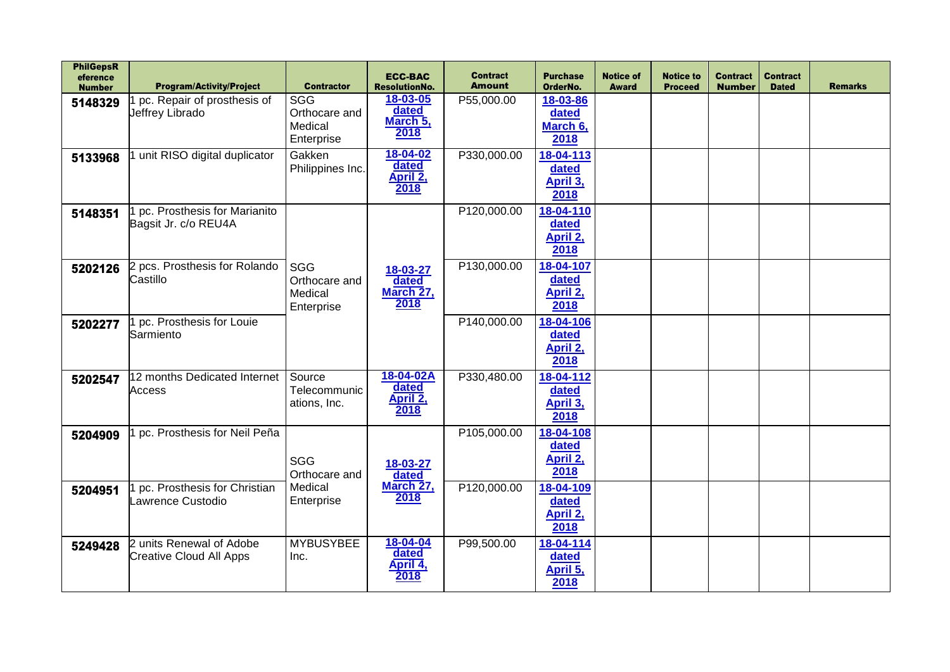| <b>PhilGepsR</b><br>eference<br><b>Number</b> | <b>Program/Activity/Project</b> | <b>Contractor</b>      | <b>ECC-BAC</b><br><b>ResolutionNo.</b> | <b>Contract</b><br><b>Amount</b> | <b>Purchase</b><br>OrderNo. | <b>Notice of</b><br><b>Award</b> | <b>Notice to</b><br><b>Proceed</b> | <b>Contract</b><br><b>Number</b> | <b>Contract</b><br><b>Dated</b> | <b>Remarks</b> |
|-----------------------------------------------|---------------------------------|------------------------|----------------------------------------|----------------------------------|-----------------------------|----------------------------------|------------------------------------|----------------------------------|---------------------------------|----------------|
|                                               | pc. Repair of prosthesis of     | <b>SGG</b>             | 18-03-05                               | P55,000.00                       | 18-03-86                    |                                  |                                    |                                  |                                 |                |
| 5148329                                       | Jeffrey Librado                 | Orthocare and          | dated                                  |                                  | dated                       |                                  |                                    |                                  |                                 |                |
|                                               |                                 | Medical                | March 5,                               |                                  | March 6,                    |                                  |                                    |                                  |                                 |                |
|                                               |                                 | Enterprise             | 2018                                   |                                  | 2018                        |                                  |                                    |                                  |                                 |                |
| 5133968                                       | unit RISO digital duplicator    | Gakken                 | 18-04-02                               | P330,000.00                      | 18-04-113                   |                                  |                                    |                                  |                                 |                |
|                                               |                                 | Philippines Inc.       | dated                                  |                                  | dated                       |                                  |                                    |                                  |                                 |                |
|                                               |                                 |                        | April 2,                               |                                  | April 3,                    |                                  |                                    |                                  |                                 |                |
|                                               |                                 |                        | 2018                                   |                                  | 2018                        |                                  |                                    |                                  |                                 |                |
| 5148351                                       | pc. Prosthesis for Marianito    |                        |                                        | P120,000.00                      | 18-04-110                   |                                  |                                    |                                  |                                 |                |
|                                               | Bagsit Jr. c/o REU4A            |                        |                                        |                                  | dated                       |                                  |                                    |                                  |                                 |                |
|                                               |                                 |                        |                                        |                                  | April 2,                    |                                  |                                    |                                  |                                 |                |
|                                               |                                 |                        |                                        |                                  | 2018                        |                                  |                                    |                                  |                                 |                |
| 5202126                                       | 2 pcs. Prosthesis for Rolando   | <b>SGG</b>             | 18-03-27                               | P130,000.00                      | 18-04-107                   |                                  |                                    |                                  |                                 |                |
|                                               | Castillo                        | Orthocare and          | dated                                  |                                  | dated                       |                                  |                                    |                                  |                                 |                |
|                                               |                                 | Medical                | March 27,                              |                                  | April 2,                    |                                  |                                    |                                  |                                 |                |
|                                               |                                 | Enterprise             | 2018                                   |                                  | 2018                        |                                  |                                    |                                  |                                 |                |
| 5202277                                       | pc. Prosthesis for Louie        |                        |                                        | P140,000.00                      | 18-04-106                   |                                  |                                    |                                  |                                 |                |
|                                               | Sarmiento                       |                        |                                        |                                  | dated                       |                                  |                                    |                                  |                                 |                |
|                                               |                                 |                        |                                        |                                  | April 2,                    |                                  |                                    |                                  |                                 |                |
|                                               |                                 |                        |                                        |                                  | 2018                        |                                  |                                    |                                  |                                 |                |
| 5202547                                       | 12 months Dedicated Internet    | Source<br>Telecommunic | 18-04-02A<br>dated                     | P330,480.00                      | 18-04-112                   |                                  |                                    |                                  |                                 |                |
|                                               | <b>Access</b>                   | ations, Inc.           | April 2,                               |                                  | dated<br>April 3,           |                                  |                                    |                                  |                                 |                |
|                                               |                                 |                        | 2018                                   |                                  | 2018                        |                                  |                                    |                                  |                                 |                |
|                                               | pc. Prosthesis for Neil Peña    |                        |                                        | P105,000.00                      | 18-04-108                   |                                  |                                    |                                  |                                 |                |
| 5204909                                       |                                 |                        |                                        |                                  | dated                       |                                  |                                    |                                  |                                 |                |
|                                               |                                 | <b>SGG</b>             |                                        |                                  | April 2,                    |                                  |                                    |                                  |                                 |                |
|                                               |                                 | Orthocare and          | 18-03-27<br>dated                      |                                  | 2018                        |                                  |                                    |                                  |                                 |                |
| 5204951                                       | pc. Prosthesis for Christian    | Medical                | March 27,                              | P120,000.00                      | 18-04-109                   |                                  |                                    |                                  |                                 |                |
|                                               | Lawrence Custodio               | Enterprise             | 2018                                   |                                  | dated                       |                                  |                                    |                                  |                                 |                |
|                                               |                                 |                        |                                        |                                  | April 2,                    |                                  |                                    |                                  |                                 |                |
|                                               |                                 |                        |                                        |                                  | 2018                        |                                  |                                    |                                  |                                 |                |
| 5249428                                       | 2 units Renewal of Adobe        | <b>MYBUSYBEE</b>       | 18-04-04                               | P99,500.00                       | 18-04-114                   |                                  |                                    |                                  |                                 |                |
|                                               | <b>Creative Cloud All Apps</b>  | Inc.                   | dated<br>April 4,                      |                                  | dated                       |                                  |                                    |                                  |                                 |                |
|                                               |                                 |                        | 2018                                   |                                  | April 5,                    |                                  |                                    |                                  |                                 |                |
|                                               |                                 |                        |                                        |                                  | 2018                        |                                  |                                    |                                  |                                 |                |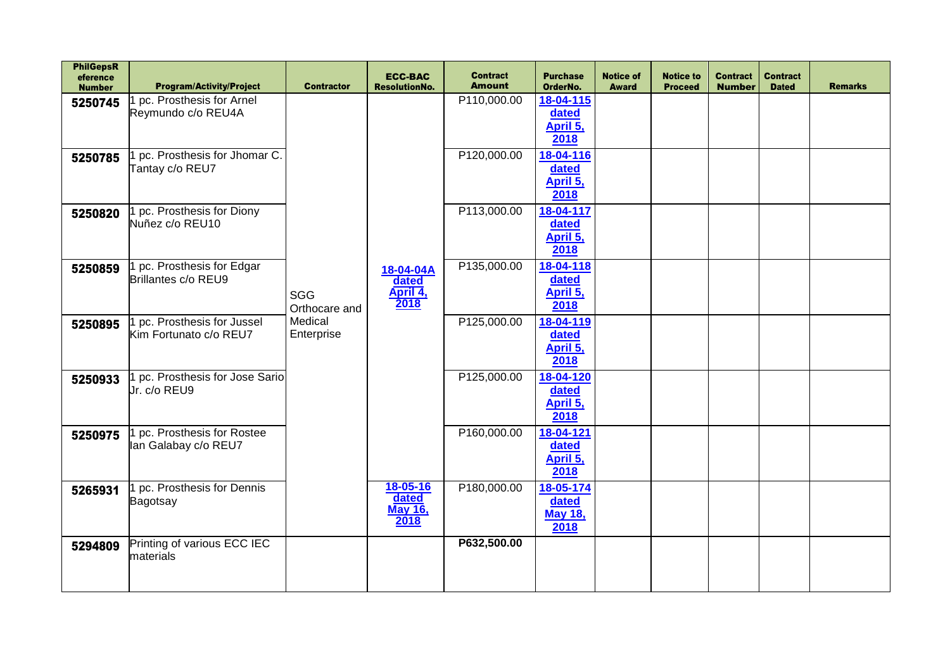| <b>PhilGepsR</b><br>eference<br><b>Number</b> | <b>Program/Activity/Project</b>                       | <b>Contractor</b>                             | <b>ECC-BAC</b><br><b>ResolutionNo.</b>      | <b>Contract</b><br><b>Amount</b> | <b>Purchase</b><br>OrderNo.                  | <b>Notice of</b><br><b>Award</b> | <b>Notice to</b><br><b>Proceed</b> | <b>Contract</b><br><b>Number</b> | <b>Contract</b><br><b>Dated</b> | <b>Remarks</b> |
|-----------------------------------------------|-------------------------------------------------------|-----------------------------------------------|---------------------------------------------|----------------------------------|----------------------------------------------|----------------------------------|------------------------------------|----------------------------------|---------------------------------|----------------|
| 5250745                                       | pc. Prosthesis for Arnel<br>Reymundo c/o REU4A        |                                               |                                             | P110,000.00                      | 18-04-115<br>dated<br>April 5,<br>2018       |                                  |                                    |                                  |                                 |                |
| 5250785                                       | pc. Prosthesis for Jhomar C.<br>Tantay c/o REU7       |                                               |                                             | P120,000.00                      | 18-04-116<br>dated<br>April 5,<br>2018       |                                  |                                    |                                  |                                 |                |
| 5250820                                       | 1 pc. Prosthesis for Diony<br>Nuñez c/o REU10         | SGG<br>Orthocare and<br>Medical<br>Enterprise |                                             | P113,000.00                      | 18-04-117<br>dated<br>April 5,<br>2018       |                                  |                                    |                                  |                                 |                |
| 5250859                                       | pc. Prosthesis for Edgar<br>Brillantes c/o REU9       |                                               | 18-04-04A<br>dated<br>April 4,<br>2018      | P135,000.00                      | 18-04-118<br>dated<br>April 5,<br>2018       |                                  |                                    |                                  |                                 |                |
| 5250895                                       | 1 pc. Prosthesis for Jussel<br>Kim Fortunato c/o REU7 |                                               |                                             | P125,000.00                      | 18-04-119<br>dated<br>April 5,<br>2018       |                                  |                                    |                                  |                                 |                |
| 5250933                                       | 1 pc. Prosthesis for Jose Sario<br>Jr. c/o REU9       |                                               |                                             | P125,000.00                      | 18-04-120<br>dated<br>April 5,<br>2018       |                                  |                                    |                                  |                                 |                |
| 5250975                                       | 1 pc. Prosthesis for Rostee<br>lan Galabay c/o REU7   |                                               |                                             | P160,000.00                      | 18-04-121<br>dated<br>April 5,<br>2018       |                                  |                                    |                                  |                                 |                |
| 5265931                                       | 1 pc. Prosthesis for Dennis<br>Bagotsay               |                                               | 18-05-16<br>dated<br><b>May 16,</b><br>2018 | P180,000.00                      | 18-05-174<br>dated<br><b>May 18,</b><br>2018 |                                  |                                    |                                  |                                 |                |
| 5294809                                       | Printing of various ECC IEC<br>materials              |                                               |                                             | P632,500.00                      |                                              |                                  |                                    |                                  |                                 |                |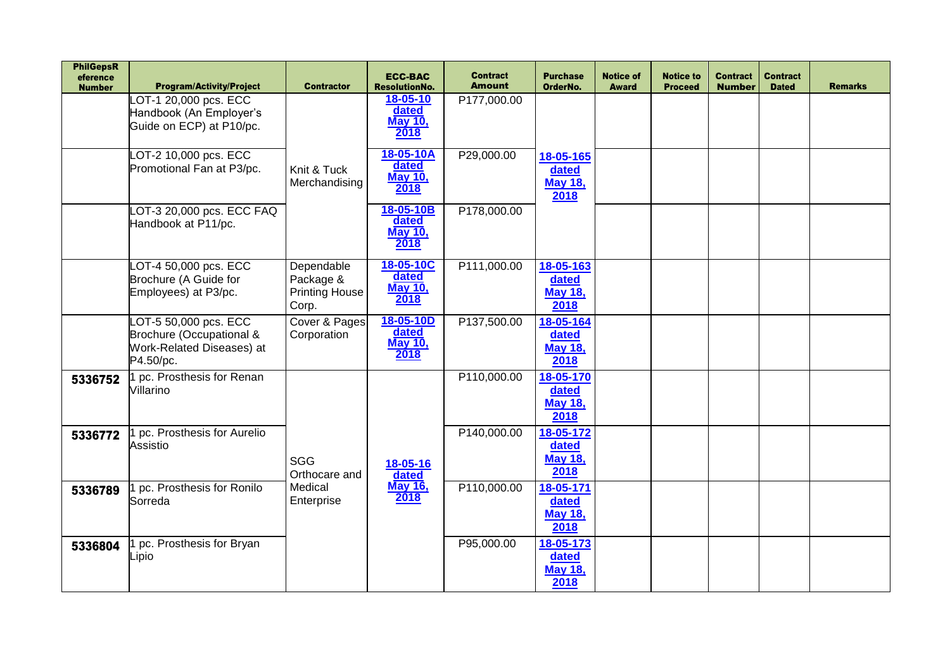| <b>PhilGepsR</b><br>eference<br><b>Number</b> | <b>Program/Activity/Project</b>                                                             | <b>Contractor</b>                                         | <b>ECC-BAC</b><br><b>ResolutionNo.</b>       | <b>Contract</b><br><b>Amount</b> | <b>Purchase</b><br>OrderNo.                  | <b>Notice of</b><br><b>Award</b> | <b>Notice to</b><br><b>Proceed</b> | <b>Contract</b><br><b>Number</b> | <b>Contract</b><br><b>Dated</b> | <b>Remarks</b> |
|-----------------------------------------------|---------------------------------------------------------------------------------------------|-----------------------------------------------------------|----------------------------------------------|----------------------------------|----------------------------------------------|----------------------------------|------------------------------------|----------------------------------|---------------------------------|----------------|
|                                               | OT-1 20,000 pcs. ECC<br>Handbook (An Employer's<br>Guide on ECP) at P10/pc.                 |                                                           | 18-05-10<br>dated<br><b>May 10,</b><br>2018  | P177,000.00                      |                                              |                                  |                                    |                                  |                                 |                |
|                                               | -OT-2 10,000 pcs. ECC<br>Promotional Fan at P3/pc.                                          | Knit & Tuck<br>Merchandising                              | 18-05-10A<br>dated<br><b>May 10,</b><br>2018 | P29,000.00                       | 18-05-165<br>dated<br><b>May 18,</b><br>2018 |                                  |                                    |                                  |                                 |                |
|                                               | OT-3 20,000 pcs. ECC FAQ<br>Handbook at P11/pc.                                             |                                                           | 18-05-10B<br>dated<br><b>May 10,</b><br>2018 | P178,000.00                      |                                              |                                  |                                    |                                  |                                 |                |
|                                               | OT-4 50,000 pcs. ECC<br>Brochure (A Guide for<br>Employees) at P3/pc.                       | Dependable<br>Package &<br><b>Printing House</b><br>Corp. | 18-05-10C<br>dated<br><b>May 10,</b><br>2018 | P111,000.00                      | 18-05-163<br>dated<br><b>May 18,</b><br>2018 |                                  |                                    |                                  |                                 |                |
|                                               | LOT-5 50,000 pcs. ECC<br>Brochure (Occupational &<br>Work-Related Diseases) at<br>P4.50/pc. | Cover & Pages<br>Corporation                              | 18-05-10D<br>dated<br><b>May 10,</b><br>2018 | P137,500.00                      | 18-05-164<br>dated<br><b>May 18,</b><br>2018 |                                  |                                    |                                  |                                 |                |
| 5336752                                       | 1 pc. Prosthesis for Renan<br>Villarino                                                     |                                                           |                                              | P110,000.00                      | 18-05-170<br>dated<br><b>May 18,</b><br>2018 |                                  |                                    |                                  |                                 |                |
| 5336772                                       | pc. Prosthesis for Aurelio<br>Assistio                                                      | <b>SGG</b><br>Orthocare and                               | 18-05-16<br>dated                            | P140,000.00                      | 18-05-172<br>dated<br><b>May 18,</b><br>2018 |                                  |                                    |                                  |                                 |                |
| 5336789                                       | pc. Prosthesis for Ronilo<br>Sorreda                                                        | Medical<br>Enterprise                                     | <b>May 16,</b><br>2018                       | P110,000.00                      | 18-05-171<br>dated<br><b>May 18,</b><br>2018 |                                  |                                    |                                  |                                 |                |
| 5336804                                       | pc. Prosthesis for Bryan<br>_ipio                                                           |                                                           |                                              | P95,000.00                       | 18-05-173<br>dated<br><b>May 18,</b><br>2018 |                                  |                                    |                                  |                                 |                |